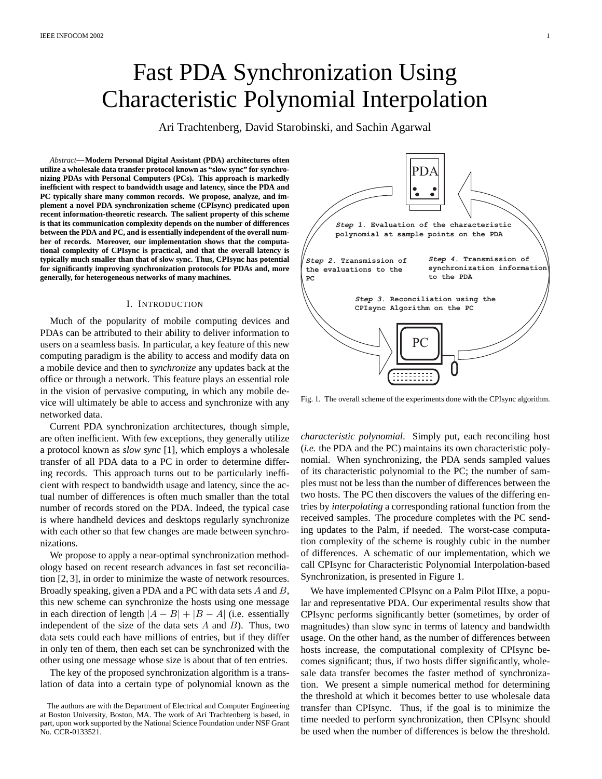# Fast PDA Synchronization Using Characteristic Polynomial Interpolation

Ari Trachtenberg, David Starobinski, and Sachin Agarwal

*Abstract***—Modern Personal Digital Assistant (PDA) architectures often utilize a wholesale data transfer protocol known as "slow sync" for synchronizing PDAs with Personal Computers (PCs). This approach is markedly inefficient with respect to bandwidth usage and latency, since the PDA and PC typically share many common records. We propose, analyze, and implement a novel PDA synchronization scheme (CPIsync) predicated upon recent information-theoretic research. The salient property of this scheme is that its communication complexity depends on the number of differences between the PDA and PC, and is essentially independent of the overall number of records. Moreover, our implementation shows that the computational complexity of CPIsync is practical, and that the overall latency is typically much smaller than that of slow sync. Thus, CPIsync has potential for significantly improving synchronization protocols for PDAs and, more generally, for heterogeneous networks of many machines.**

# I. INTRODUCTION

Much of the popularity of mobile computing devices and PDAs can be attributed to their ability to deliver information to users on a seamless basis. In particular, a key feature of this new computing paradigm is the ability to access and modify data on a mobile device and then to *synchronize* any updates back at the office or through a network. This feature plays an essential role in the vision of pervasive computing, in which any mobile device will ultimately be able to access and synchronize with any networked data.

Current PDA synchronization architectures, though simple, are often inefficient. With few exceptions, they generally utilize a protocol known as *slow sync* [1], which employs a wholesale transfer of all PDA data to a PC in order to determine differing records. This approach turns out to be particularly inefficient with respect to bandwidth usage and latency, since the actual number of differences is often much smaller than the total number of records stored on the PDA. Indeed, the typical case is where handheld devices and desktops regularly synchronize with each other so that few changes are made between synchronizations.

We propose to apply a near-optimal synchronization methodology based on recent research advances in fast set reconciliation [2, 3], in order to minimize the waste of network resources. Broadly speaking, given a PDA and a PC with data sets A and B, this new scheme can synchronize the hosts using one message in each direction of length  $|A - B| + |B - A|$  (i.e. essentially independent of the size of the data sets  $A$  and  $B$ ). Thus, two data sets could each have millions of entries, but if they differ in only ten of them, then each set can be synchronized with the other using one message whose size is about that of ten entries.

The key of the proposed synchronization algorithm is a translation of data into a certain type of polynomial known as the



Fig. 1. The overall scheme of the experiments done with the CPIsync algorithm.

*characteristic polynomial*. Simply put, each reconciling host (*i.e.* the PDA and the PC) maintains its own characteristic polynomial. When synchronizing, the PDA sends sampled values of its characteristic polynomial to the PC; the number of samples must not be less than the number of differences between the two hosts. The PC then discovers the values of the differing entries by *interpolating* a corresponding rational function from the received samples. The procedure completes with the PC sending updates to the Palm, if needed. The worst-case computation complexity of the scheme is roughly cubic in the number of differences. A schematic of our implementation, which we call CPIsync for Characteristic Polynomial Interpolation-based Synchronization, is presented in Figure 1.

We have implemented CPIsync on a Palm Pilot IIIxe, a popular and representative PDA. Our experimental results show that CPIsync performs significantly better (sometimes, by order of magnitudes) than slow sync in terms of latency and bandwidth usage. On the other hand, as the number of differences between hosts increase, the computational complexity of CPIsync becomes significant; thus, if two hosts differ significantly, wholesale data transfer becomes the faster method of synchronization. We present a simple numerical method for determining the threshold at which it becomes better to use wholesale data transfer than CPIsync. Thus, if the goal is to minimize the time needed to perform synchronization, then CPIsync should be used when the number of differences is below the threshold.

The authors are with the Department of Electrical and Computer Engineering at Boston University, Boston, MA. The work of Ari Trachtenberg is based, in part, upon work supported by the National Science Foundation under NSF Grant No. CCR-0133521.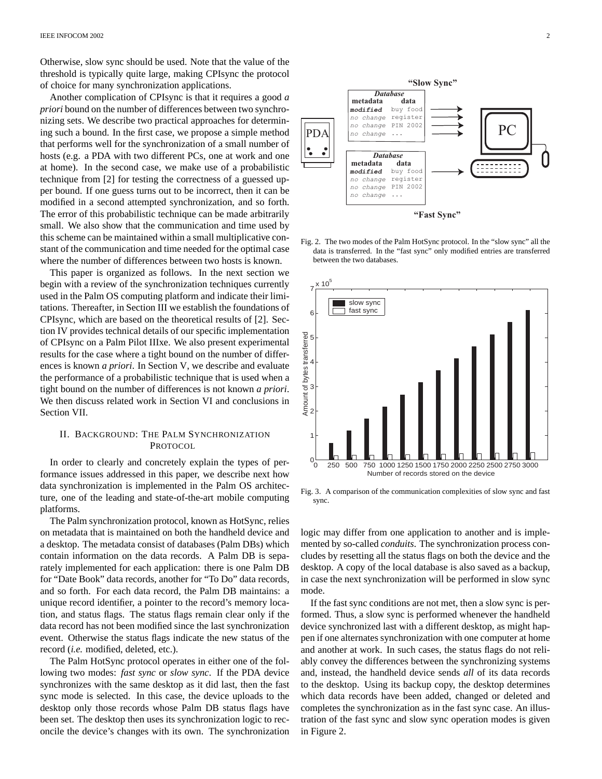Otherwise, slow sync should be used. Note that the value of the threshold is typically quite large, making CPIsync the protocol of choice for many synchronization applications.

Another complication of CPIsync is that it requires a good *a priori* bound on the number of differences between two synchronizing sets. We describe two practical approaches for determining such a bound. In the first case, we propose a simple method that performs well for the synchronization of a small number of hosts (e.g. a PDA with two different PCs, one at work and one at home). In the second case, we make use of a probabilistic technique from [2] for testing the correctness of a guessed upper bound. If one guess turns out to be incorrect, then it can be modified in a second attempted synchronization, and so forth. The error of this probabilistic technique can be made arbitrarily small. We also show that the communication and time used by this scheme can be maintained within a small multiplicative constant of the communication and time needed for the optimal case where the number of differences between two hosts is known.

This paper is organized as follows. In the next section we begin with a review of the synchronization techniques currently used in the Palm OS computing platform and indicate their limitations. Thereafter, in Section III we establish the foundations of CPIsync, which are based on the theoretical results of [2]. Section IV provides technical details of our specific implementation of CPIsync on a Palm Pilot IIIxe. We also present experimental results for the case where a tight bound on the number of differences is known *a priori*. In Section V, we describe and evaluate the performance of a probabilistic technique that is used when a tight bound on the number of differences is not known *a priori*. We then discuss related work in Section VI and conclusions in Section VII.

# II. BACKGROUND: THE PALM SYNCHRONIZATION PROTOCOL

In order to clearly and concretely explain the types of performance issues addressed in this paper, we describe next how data synchronization is implemented in the Palm OS architecture, one of the leading and state-of-the-art mobile computing platforms.

The Palm synchronization protocol, known as HotSync, relies on metadata that is maintained on both the handheld device and a desktop. The metadata consist of databases (Palm DBs) which contain information on the data records. A Palm DB is separately implemented for each application: there is one Palm DB for "Date Book" data records, another for "To Do" data records, and so forth. For each data record, the Palm DB maintains: a unique record identifier, a pointer to the record's memory location, and status flags. The status flags remain clear only if the data record has not been modified since the last synchronization event. Otherwise the status flags indicate the new status of the record (*i.e.* modified, deleted, etc.).

The Palm HotSync protocol operates in either one of the following two modes: *fast sync* or *slow sync*. If the PDA device synchronizes with the same desktop as it did last, then the fast sync mode is selected. In this case, the device uploads to the desktop only those records whose Palm DB status flags have been set. The desktop then uses its synchronization logic to reconcile the device's changes with its own. The synchronization



Fig. 2. The two modes of the Palm HotSync protocol. In the "slow sync" all the data is transferred. In the "fast sync" only modified entries are transferred between the two databases.



Fig. 3. A comparison of the communication complexities of slow sync and fast sync.

logic may differ from one application to another and is implemented by so-called *conduits*. The synchronization process concludes by resetting all the status flags on both the device and the desktop. A copy of the local database is also saved as a backup, in case the next synchronization will be performed in slow sync mode.

If the fast sync conditions are not met, then a slow sync is performed. Thus, a slow sync is performed whenever the handheld device synchronized last with a different desktop, as might happen if one alternates synchronization with one computer at home and another at work. In such cases, the status flags do not reliably convey the differences between the synchronizing systems and, instead, the handheld device sends *all* of its data records to the desktop. Using its backup copy, the desktop determines which data records have been added, changed or deleted and completes the synchronization as in the fast sync case. An illustration of the fast sync and slow sync operation modes is given in Figure 2.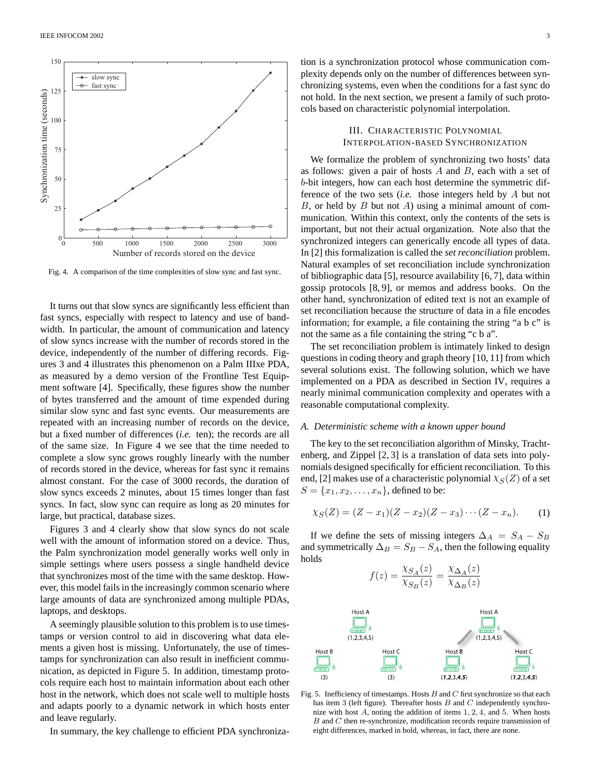

Fig. 4. A comparison of the time complexities of slow sync and fast sync.

It turns out that slow syncs are significantly less efficient than fast syncs, especially with respect to latency and use of bandwidth. In particular, the amount of communication and latency of slow syncs increase with the number of records stored in the device, independently of the number of differing records. Figures 3 and 4 illustrates this phenomenon on a Palm IIIxe PDA, as measured by a demo version of the Frontline Test Equipment software [4]. Specifically, these figures show the number of bytes transferred and the amount of time expended during similar slow sync and fast sync events. Our measurements are repeated with an increasing number of records on the device, but a fixed number of differences (*i.e.* ten); the records are all of the same size. In Figure 4 we see that the time needed to complete a slow sync grows roughly linearly with the number of records stored in the device, whereas for fast sync it remains almost constant. For the case of 3000 records, the duration of slow syncs exceeds 2 minutes, about 15 times longer than fast syncs. In fact, slow sync can require as long as 20 minutes for large, but practical, database sizes.

Figures 3 and 4 clearly show that slow syncs do not scale well with the amount of information stored on a device. Thus, the Palm synchronization model generally works well only in simple settings where users possess a single handheld device that synchronizes most of the time with the same desktop. However, this model fails in the increasingly common scenario where large amounts of data are synchronized among multiple PDAs, laptops, and desktops.

A seemingly plausible solution to this problem is to use timestamps or version control to aid in discovering what data elements a given host is missing. Unfortunately, the use of timestamps for synchronization can also result in inefficient communication, as depicted in Figure 5. In addition, timestamp protocols require each host to maintain information about each other host in the network, which does not scale well to multiple hosts and adapts poorly to a dynamic network in which hosts enter and leave regularly.

In summary, the key challenge to efficient PDA synchroniza-

tion is a synchronization protocol whose communication complexity depends only on the number of differences between synchronizing systems, even when the conditions for a fast sync do not hold. In the next section, we present a family of such protocols based on characteristic polynomial interpolation.

# III. CHARACTERISTIC POLYNOMIAL INTERPOLATION-BASED SYNCHRONIZATION

We formalize the problem of synchronizing two hosts' data as follows: given a pair of hosts  $A$  and  $B$ , each with a set of b-bit integers, how can each host determine the symmetric difference of the two sets (*i.e.* those integers held by A but not  $B$ , or held by  $B$  but not  $A$ ) using a minimal amount of communication. Within this context, only the contents of the sets is important, but not their actual organization. Note also that the synchronized integers can generically encode all types of data. In [2] this formalization is called the *set reconciliation* problem. Natural examples of set reconciliation include synchronization of bibliographic data [5], resource availability [6, 7], data within gossip protocols [8, 9], or memos and address books. On the other hand, synchronization of edited text is not an example of set reconciliation because the structure of data in a file encodes information; for example, a file containing the string "a b c" is not the same as a file containing the string "c b a".

The set reconciliation problem is intimately linked to design questions in coding theory and graph theory [10, 11] from which several solutions exist. The following solution, which we have implemented on a PDA as described in Section IV, requires a nearly minimal communication complexity and operates with a reasonable computational complexity.

#### *A. Deterministic scheme with a known upper bound*

The key to the set reconciliation algorithm of Minsky, Trachtenberg, and Zippel [2, 3] is a translation of data sets into polynomials designed specifically for efficient reconciliation. To this end, [2] makes use of a characteristic polynomial  $\chi_S(Z)$  of a set  $S = \{x_1, x_2, \ldots, x_n\}$ , defined to be:

$$
\chi_S(Z) = (Z - x_1)(Z - x_2)(Z - x_3) \cdots (Z - x_n). \tag{1}
$$

If we define the sets of missing integers  $\Delta_A = S_A - S_B$ and symmetrically  $\Delta_B = S_B - S_A$ , then the following equality holds

$$
f(z) = \frac{\chi_{S_A}(z)}{\chi_{S_B}(z)} = \frac{\chi_{\Delta_A}(z)}{\chi_{\Delta_B}(z)}
$$



Fig. 5. Inefficiency of timestamps. Hosts  $B$  and  $C$  first synchronize so that each has item 3 (left figure). Thereafter hosts  $B$  and  $C$  independently synchronize with host  $A$ , noting the addition of items  $1, 2, 4$ , and  $5$ . When hosts B and C then re-synchronize, modification records require transmission of eight differences, marked in bold, whereas, in fact, there are none.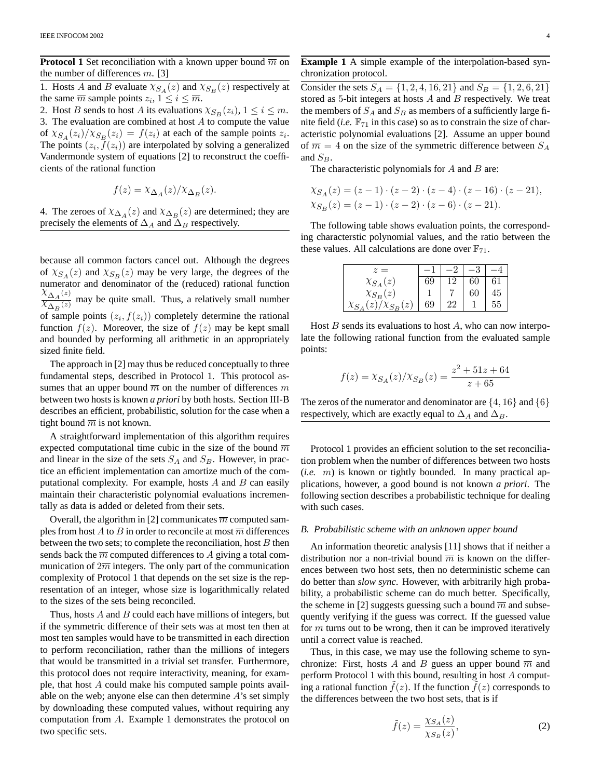**Protocol 1** Set reconciliation with a known upper bound  $\overline{m}$  on the number of differences  $m$ . [3]

1. Hosts A and B evaluate  $\chi_{S_A}(z)$  and  $\chi_{S_B}(z)$  respectively at the same  $\overline{m}$  sample points  $z_i$ ,  $1 \leq i \leq \overline{m}$ .

2. Host B sends to host A its evaluations  $\chi_{S_B}(z_i)$ ,  $1 \leq i \leq m$ . 3. The evaluation are combined at host  $A$  to compute the value of  $\chi_{S_A}(z_i)/\chi_{S_B}(z_i) = f(z_i)$  at each of the sample points  $z_i$ . The points  $(z_i, f(z_i))$  are interpolated by solving a generalized Vandermonde system of equations [2] to reconstruct the coefficients of the rational function

$$
f(z) = \chi_{\Delta_A}(z) / \chi_{\Delta_B}(z).
$$

4. The zeroes of  $\chi_{\Delta_A}(z)$  and  $\chi_{\Delta_B}(z)$  are determined; they are precisely the elements of  $\Delta_A$  and  $\Delta_B$  respectively.

because all common factors cancel out. Although the degrees of  $\chi_{S_A}(z)$  and  $\chi_{S_B}(z)$  may be very large, the degrees of the numerator and denominator of the (reduced) rational function  $\chi_{\Delta_A}(z)$  $\frac{\partial \langle \Delta A | \Delta \rangle}{\partial \langle \Delta B | \Delta \rangle}$  may be quite small. Thus, a relatively small number of sample points  $(z_i, f(z_i))$  completely determine the rational function  $f(z)$ . Moreover, the size of  $f(z)$  may be kept small and bounded by performing all arithmetic in an appropriately sized finite field.

The approach in [2] may thus be reduced conceptually to three fundamental steps, described in Protocol 1. This protocol assumes that an upper bound  $\overline{m}$  on the number of differences m between two hosts is known *a priori* by both hosts. Section III-B describes an efficient, probabilistic, solution for the case when a tight bound  $\overline{m}$  is not known.

A straightforward implementation of this algorithm requires expected computational time cubic in the size of the bound  $\overline{m}$ and linear in the size of the sets  $S_A$  and  $S_B$ . However, in practice an efficient implementation can amortize much of the computational complexity. For example, hosts  $A$  and  $B$  can easily maintain their characteristic polynomial evaluations incrementally as data is added or deleted from their sets.

Overall, the algorithm in [2] communicates  $\overline{m}$  computed samples from host A to B in order to reconcile at most  $\overline{m}$  differences between the two sets; to complete the reconciliation, host  $B$  then sends back the  $\overline{m}$  computed differences to A giving a total communication of  $2\overline{m}$  integers. The only part of the communication complexity of Protocol 1 that depends on the set size is the representation of an integer, whose size is logarithmically related to the sizes of the sets being reconciled.

Thus, hosts  $A$  and  $B$  could each have millions of integers, but if the symmetric difference of their sets was at most ten then at most ten samples would have to be transmitted in each direction to perform reconciliation, rather than the millions of integers that would be transmitted in a trivial set transfer. Furthermore, this protocol does not require interactivity, meaning, for example, that host A could make his computed sample points available on the web; anyone else can then determine  $A$ 's set simply by downloading these computed values, without requiring any computation from A. Example 1 demonstrates the protocol on two specific sets.

**Example 1** A simple example of the interpolation-based synchronization protocol.

Consider the sets  $S_A = \{1, 2, 4, 16, 21\}$  and  $S_B = \{1, 2, 6, 21\}$ stored as 5-bit integers at hosts  $A$  and  $B$  respectively. We treat the members of  $S_A$  and  $S_B$  as members of a sufficiently large finite field (*i.e.*  $\mathbb{F}_{71}$  in this case) so as to constrain the size of characteristic polynomial evaluations [2]. Assume an upper bound of  $\overline{m} = 4$  on the size of the symmetric difference between  $S_A$ and  $S_B$ .

The characteristic polynomials for  $A$  and  $B$  are:

$$
\chi_{S_A}(z) = (z - 1) \cdot (z - 2) \cdot (z - 4) \cdot (z - 16) \cdot (z - 21),
$$
  
\n
$$
\chi_{S_B}(z) = (z - 1) \cdot (z - 2) \cdot (z - 6) \cdot (z - 21).
$$

The following table shows evaluation points, the corresponding characterstic polynomial values, and the ratio between the these values. All calculations are done over  $\mathbb{F}_{71}$ .

| $\chi_{S_A}(z)$         | 69 |    |        |
|-------------------------|----|----|--------|
| $\chi_{S_B}(z)$         |    | 60 | $45\,$ |
| (z)<br>$\boldsymbol{z}$ | 69 |    |        |

Host  $B$  sends its evaluations to host  $A$ , who can now interpolate the following rational function from the evaluated sample points:

$$
f(z) = \chi_{S_A}(z) / \chi_{S_B}(z) = \frac{z^2 + 51z + 64}{z + 65}
$$

The zeros of the numerator and denominator are  $\{4, 16\}$  and  $\{6\}$ respectively, which are exactly equal to  $\Delta_A$  and  $\Delta_B$ .

Protocol 1 provides an efficient solution to the set reconciliation problem when the number of differences between two hosts (*i.e.* m) is known or tightly bounded. In many practical applications, however, a good bound is not known *a priori*. The following section describes a probabilistic technique for dealing with such cases.

## *B. Probabilistic scheme with an unknown upper bound*

An information theoretic analysis [11] shows that if neither a distribution nor a non-trivial bound  $\overline{m}$  is known on the differences between two host sets, then no deterministic scheme can do better than *slow sync*. However, with arbitrarily high probability, a probabilistic scheme can do much better. Specifically, the scheme in [2] suggests guessing such a bound  $\overline{m}$  and subsequently verifying if the guess was correct. If the guessed value for  $\overline{m}$  turns out to be wrong, then it can be improved iteratively until a correct value is reached.

Thus, in this case, we may use the following scheme to synchronize: First, hosts A and B guess an upper bound  $\overline{m}$  and perform Protocol 1 with this bound, resulting in host A computing a rational function  $f(z)$ . If the function  $f(z)$  corresponds to the differences between the two host sets, that is if

$$
\tilde{f}(z) = \frac{\chi_{S_A}(z)}{\chi_{S_B}(z)},\tag{2}
$$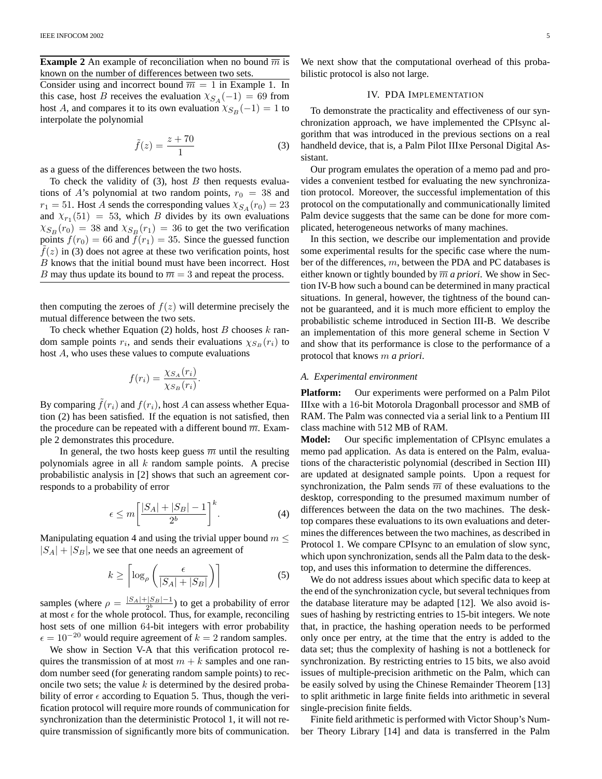**Example 2** An example of reconciliation when no bound  $\overline{m}$  is known on the number of differences between two sets. Consider using and incorrect bound  $\overline{m} = 1$  in Example 1. In

this case, host B receives the evaluation  $\chi_{S_A}(-1) = 69$  from host A, and compares it to its own evaluation  $\chi_{S_B}(-1) = 1$  to interpolate the polynomial

$$
\tilde{f}(z) = \frac{z + 70}{1} \tag{3}
$$

as a guess of the differences between the two hosts.

To check the validity of  $(3)$ , host B then requests evaluations of A's polynomial at two random points,  $r_0 = 38$  and  $r_1 = 51$ . Host A sends the corresponding values  $\chi_{S_A}(r_0) = 23$ and  $\chi_{r_1}(51) = 53$ , which B divides by its own evaluations  $\chi_{S_B}(r_0) = 38$  and  $\chi_{S_B}(r_1) = 36$  to get the two verification points  $f(r_0) = 66$  and  $f(r_1) = 35$ . Since the guessed function  $\tilde{f}(z)$  in (3) does not agree at these two verification points, host B knows that the initial bound must have been incorrect. Host B may thus update its bound to  $\overline{m} = 3$  and repeat the process.

then computing the zeroes of  $f(z)$  will determine precisely the mutual difference between the two sets.

To check whether Equation (2) holds, host  $B$  chooses  $k$  random sample points  $r_i$ , and sends their evaluations  $\chi_{S_B}(r_i)$  to host A, who uses these values to compute evaluations

$$
f(r_i) = \frac{\chi_{S_A}(r_i)}{\chi_{S_B}(r_i)}.
$$

By comparing  $\tilde{f}(r_i)$  and  $f(r_i)$ , host A can assess whether Equation (2) has been satisfied. If the equation is not satisfied, then the procedure can be repeated with a different bound  $\overline{m}$ . Example 2 demonstrates this procedure.

In general, the two hosts keep guess  $\overline{m}$  until the resulting polynomials agree in all  $k$  random sample points. A precise probabilistic analysis in [2] shows that such an agreement corresponds to a probability of error

$$
\epsilon \le m \left[ \frac{|S_A| + |S_B| - 1}{2^b} \right]^k. \tag{4}
$$

Manipulating equation 4 and using the trivial upper bound  $m \leq$  $|S_A| + |S_B|$ , we see that one needs an agreement of

$$
k \ge \left\lceil \log_{\rho} \left( \frac{\epsilon}{|S_A| + |S_B|} \right) \right\rceil \tag{5}
$$

samples (where  $\rho = \frac{|S_A| + |S_B| - 1}{2b}$ ) to get a probability of error<br>at most  $\epsilon$  for the whole protocol. Thus, for example, reconciling at most  $\epsilon$  for the whole protocol. Thus, for example, reconciling host sets of one million 64-bit integers with error probability  $\epsilon = 10^{-20}$  would require agreement of  $k = 2$  random samples.

We show in Section V-A that this verification protocol requires the transmission of at most  $m + k$  samples and one random number seed (for generating random sample points) to reconcile two sets; the value  $k$  is determined by the desired probability of error  $\epsilon$  according to Equation 5. Thus, though the verification protocol will require more rounds of communication for synchronization than the deterministic Protocol 1, it will not require transmission of significantly more bits of communication.

We next show that the computational overhead of this probabilistic protocol is also not large.

# IV. PDA IMPLEMENTATION

To demonstrate the practicality and effectiveness of our synchronization approach, we have implemented the CPIsync algorithm that was introduced in the previous sections on a real handheld device, that is, a Palm Pilot IIIxe Personal Digital Assistant.

Our program emulates the operation of a memo pad and provides a convenient testbed for evaluating the new synchronization protocol. Moreover, the successful implementation of this protocol on the computationally and communicationally limited Palm device suggests that the same can be done for more complicated, heterogeneous networks of many machines.

In this section, we describe our implementation and provide some experimental results for the specific case where the number of the differences, m, between the PDA and PC databases is either known or tightly bounded by  $\overline{m}$  *a priori*. We show in Section IV-B how such a bound can be determined in many practical situations. In general, however, the tightness of the bound cannot be guaranteed, and it is much more efficient to employ the probabilistic scheme introduced in Section III-B. We describe an implementation of this more general scheme in Section V and show that its performance is close to the performance of a protocol that knows m *a priori*.

# *A. Experimental environment*

**Platform:** Our experiments were performed on a Palm Pilot IIIxe with a 16-bit Motorola Dragonball processor and 8MB of RAM. The Palm was connected via a serial link to a Pentium III class machine with 512 MB of RAM.

**Model:** Our specific implementation of CPIsync emulates a memo pad application. As data is entered on the Palm, evaluations of the characteristic polynomial (described in Section III) are updated at designated sample points. Upon a request for synchronization, the Palm sends  $\overline{m}$  of these evaluations to the desktop, corresponding to the presumed maximum number of differences between the data on the two machines. The desktop compares these evaluations to its own evaluations and determines the differences between the two machines, as described in Protocol 1. We compare CPIsync to an emulation of slow sync, which upon synchronization, sends all the Palm data to the desktop, and uses this information to determine the differences.

We do not address issues about which specific data to keep at the end of the synchronization cycle, but several techniques from the database literature may be adapted [12]. We also avoid issues of hashing by restricting entries to 15-bit integers. We note that, in practice, the hashing operation needs to be performed only once per entry, at the time that the entry is added to the data set; thus the complexity of hashing is not a bottleneck for synchronization. By restricting entries to 15 bits, we also avoid issues of multiple-precision arithmetic on the Palm, which can be easily solved by using the Chinese Remainder Theorem [13] to split arithmetic in large finite fields into arithmetic in several single-precision finite fields.

Finite field arithmetic is performed with Victor Shoup's Number Theory Library [14] and data is transferred in the Palm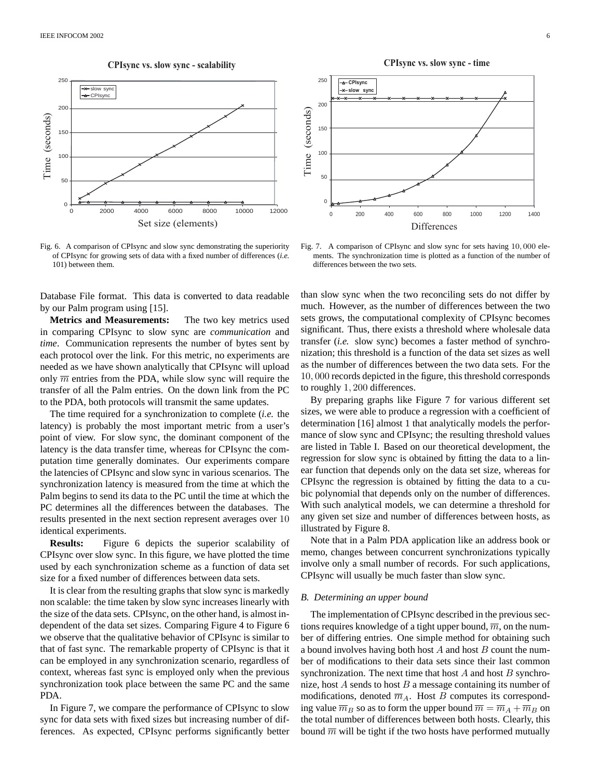



Fig. 6. A comparison of CPIsync and slow sync demonstrating the superiority of CPIsync for growing sets of data with a fixed number of differences (*i.e.* 101) between them.

Database File format. This data is converted to data readable by our Palm program using [15].

**Metrics and Measurements:** The two key metrics used in comparing CPIsync to slow sync are *communication* and *time*. Communication represents the number of bytes sent by each protocol over the link. For this metric, no experiments are needed as we have shown analytically that CPIsync will upload only  $\overline{m}$  entries from the PDA, while slow sync will require the transfer of all the Palm entries. On the down link from the PC to the PDA, both protocols will transmit the same updates.

The time required for a synchronization to complete (*i.e.* the latency) is probably the most important metric from a user's point of view. For slow sync, the dominant component of the latency is the data transfer time, whereas for CPIsync the computation time generally dominates. Our experiments compare the latencies of CPIsync and slow sync in various scenarios. The synchronization latency is measured from the time at which the Palm begins to send its data to the PC until the time at which the PC determines all the differences between the databases. The results presented in the next section represent averages over 10 identical experiments.

**Results:** Figure 6 depicts the superior scalability of CPIsync over slow sync. In this figure, we have plotted the time used by each synchronization scheme as a function of data set size for a fixed number of differences between data sets.

It is clear from the resulting graphs that slow sync is markedly non scalable: the time taken by slow sync increases linearly with the size of the data sets. CPIsync, on the other hand, is almost independent of the data set sizes. Comparing Figure 4 to Figure 6 we observe that the qualitative behavior of CPIsync is similar to that of fast sync. The remarkable property of CPIsync is that it can be employed in any synchronization scenario, regardless of context, whereas fast sync is employed only when the previous synchronization took place between the same PC and the same PDA.

In Figure 7, we compare the performance of CPIsync to slow sync for data sets with fixed sizes but increasing number of differences. As expected, CPIsync performs significantly better





Fig. 7. A comparison of CPIsync and slow sync for sets having 10, 000 elements. The synchronization time is plotted as a function of the number of differences between the two sets.

than slow sync when the two reconciling sets do not differ by much. However, as the number of differences between the two sets grows, the computational complexity of CPIsync becomes significant. Thus, there exists a threshold where wholesale data transfer (*i.e.* slow sync) becomes a faster method of synchronization; this threshold is a function of the data set sizes as well as the number of differences between the two data sets. For the 10, 000 records depicted in the figure, this threshold corresponds to roughly 1, 200 differences.

By preparing graphs like Figure 7 for various different set sizes, we were able to produce a regression with a coefficient of determination [16] almost 1 that analytically models the performance of slow sync and CPIsync; the resulting threshold values are listed in Table I. Based on our theoretical development, the regression for slow sync is obtained by fitting the data to a linear function that depends only on the data set size, whereas for CPIsync the regression is obtained by fitting the data to a cubic polynomial that depends only on the number of differences. With such analytical models, we can determine a threshold for any given set size and number of differences between hosts, as illustrated by Figure 8.

Note that in a Palm PDA application like an address book or memo, changes between concurrent synchronizations typically involve only a small number of records. For such applications, CPIsync will usually be much faster than slow sync.

#### *B. Determining an upper bound*

The implementation of CPIsync described in the previous sections requires knowledge of a tight upper bound,  $\overline{m}$ , on the number of differing entries. One simple method for obtaining such a bound involves having both host  $A$  and host  $B$  count the number of modifications to their data sets since their last common synchronization. The next time that host  $A$  and host  $B$  synchronize, host  $A$  sends to host  $B$  a message containing its number of modifications, denoted  $\overline{m}_A$ . Host B computes its corresponding value  $\overline{m}_B$  so as to form the upper bound  $\overline{m} = \overline{m}_A + \overline{m}_B$  on the total number of differences between both hosts. Clearly, this bound  $\overline{m}$  will be tight if the two hosts have performed mutually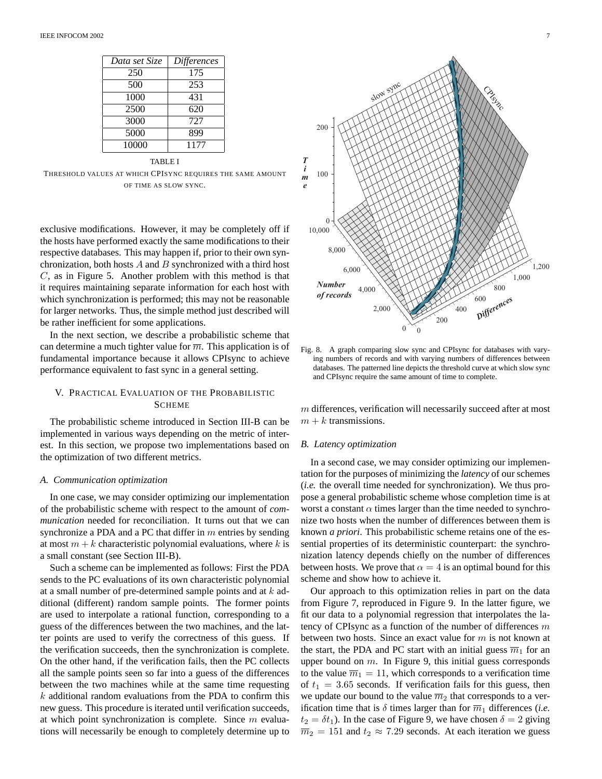| <i>Differences</i> |
|--------------------|
| 175                |
| 253                |
| 431                |
| 620                |
| 727                |
| 899                |
| 1177               |
|                    |

TABLE I THRESHOLD VALUES AT WHICH CPISYNC REQUIRES THE SAME AMOUNT OF TIME AS SLOW SYNC.

exclusive modifications. However, it may be completely off if the hosts have performed exactly the same modifications to their respective databases. This may happen if, prior to their own synchronization, both hosts  $A$  and  $B$  synchronized with a third host C, as in Figure 5. Another problem with this method is that it requires maintaining separate information for each host with which synchronization is performed; this may not be reasonable for larger networks. Thus, the simple method just described will be rather inefficient for some applications.

In the next section, we describe a probabilistic scheme that can determine a much tighter value for  $\overline{m}$ . This application is of fundamental importance because it allows CPIsync to achieve performance equivalent to fast sync in a general setting.

# V. PRACTICAL EVALUATION OF THE PROBABILISTIC **SCHEME**

The probabilistic scheme introduced in Section III-B can be implemented in various ways depending on the metric of interest. In this section, we propose two implementations based on the optimization of two different metrics.

## *A. Communication optimization*

In one case, we may consider optimizing our implementation of the probabilistic scheme with respect to the amount of *communication* needed for reconciliation. It turns out that we can synchronize a PDA and a PC that differ in  $m$  entries by sending at most  $m + k$  characteristic polynomial evaluations, where k is a small constant (see Section III-B).

Such a scheme can be implemented as follows: First the PDA sends to the PC evaluations of its own characteristic polynomial at a small number of pre-determined sample points and at k additional (different) random sample points. The former points are used to interpolate a rational function, corresponding to a guess of the differences between the two machines, and the latter points are used to verify the correctness of this guess. If the verification succeeds, then the synchronization is complete. On the other hand, if the verification fails, then the PC collects all the sample points seen so far into a guess of the differences between the two machines while at the same time requesting  $k$  additional random evaluations from the PDA to confirm this new guess. This procedure is iterated until verification succeeds, at which point synchronization is complete. Since  $m$  evaluations will necessarily be enough to completely determine up to



Fig. 8. A graph comparing slow sync and CPIsync for databases with varying numbers of records and with varying numbers of differences between databases. The patterned line depicts the threshold curve at which slow sync and CPIsync require the same amount of time to complete.

 $m$  differences, verification will necessarily succeed after at most  $m + k$  transmissions.

#### *B. Latency optimization*

In a second case, we may consider optimizing our implementation for the purposes of minimizing the *latency* of our schemes (*i.e.* the overall time needed for synchronization). We thus propose a general probabilistic scheme whose completion time is at worst a constant  $\alpha$  times larger than the time needed to synchronize two hosts when the number of differences between them is known *a priori*. This probabilistic scheme retains one of the essential properties of its deterministic counterpart: the synchronization latency depends chiefly on the number of differences between hosts. We prove that  $\alpha = 4$  is an optimal bound for this scheme and show how to achieve it.

Our approach to this optimization relies in part on the data from Figure 7, reproduced in Figure 9. In the latter figure, we fit our data to a polynomial regression that interpolates the latency of CPIsync as a function of the number of differences  $m$ between two hosts. Since an exact value for  $m$  is not known at the start, the PDA and PC start with an initial guess  $\overline{m}_1$  for an upper bound on  $m$ . In Figure 9, this initial guess corresponds to the value  $\overline{m}_1 = 11$ , which corresponds to a verification time of  $t_1 = 3.65$  seconds. If verification fails for this guess, then we update our bound to the value  $\overline{m}_2$  that corresponds to a verification time that is  $\delta$  times larger than for  $\overline{m}_1$  differences (*i.e.*  $t_2 = \delta t_1$ ). In the case of Figure 9, we have chosen  $\delta = 2$  giving  $\overline{m}_2$  = 151 and  $t_2 \approx 7.29$  seconds. At each iteration we guess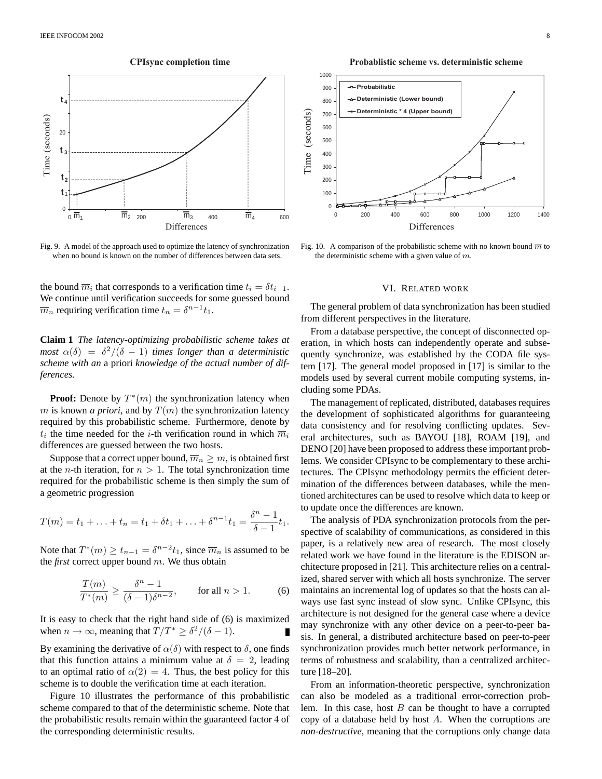

Fig. 9. A model of the approach used to optimize the latency of synchronization when no bound is known on the number of differences between data sets.

the bound  $\overline{m}_i$  that corresponds to a verification time  $t_i = \delta t_{i-1}$ . We continue until verification succeeds for some guessed bound  $\overline{m}_n$  requiring verification time  $t_n = \delta^{n-1} t_1$ .

**Claim 1** *The latency-optimizing probabilistic scheme takes at most*  $\alpha(\delta) = \delta^2/(\delta - 1)$  *times longer than a deterministic scheme with an* a priori *knowledge of the actual number of differences.*

**Proof:** Denote by  $T^*(m)$  the synchronization latency when m is known *a priori*, and by  $T(m)$  the synchronization latency required by this probabilistic scheme. Furthermore, denote by  $t_i$  the time needed for the *i*-th verification round in which  $\overline{m}_i$ differences are guessed between the two hosts.

Suppose that a correct upper bound,  $\overline{m}_n \geq m$ , is obtained first at the *n*-th iteration, for  $n > 1$ . The total synchronization time required for the probabilistic scheme is then simply the sum of a geometric progression

$$
T(m) = t_1 + \ldots + t_n = t_1 + \delta t_1 + \ldots + \delta^{n-1} t_1 = \frac{\delta^n - 1}{\delta - 1} t_1.
$$

Note that  $T^*(m) \ge t_{n-1} = \delta^{n-2} t_1$ , since  $\overline{m}_n$  is assumed to be the *first* correct upper bound m. We thus obtain

$$
\frac{T(m)}{T^*(m)} \ge \frac{\delta^n - 1}{(\delta - 1)\delta^{n-2}}, \quad \text{for all } n > 1.
$$
 (6)

It is easy to check that the right hand side of (6) is maximized when  $n \to \infty$ , meaning that  $T/T^* \geq \delta^2/(\delta - 1)$ .

By examining the derivative of  $\alpha(\delta)$  with respect to  $\delta$ , one finds that this function attains a minimum value at  $\delta = 2$ , leading to an optimal ratio of  $\alpha(2) = 4$ . Thus, the best policy for this scheme is to double the verification time at each iteration.

Figure 10 illustrates the performance of this probabilistic scheme compared to that of the deterministic scheme. Note that the probabilistic results remain within the guaranteed factor 4 of the corresponding deterministic results.

**Probablistic scheme vs. deterministic scheme**



Fig. 10. A comparison of the probabilistic scheme with no known bound  $\overline{m}$  to the deterministic scheme with a given value of  $m$ .

# VI. RELATED WORK

The general problem of data synchronization has been studied from different perspectives in the literature.

From a database perspective, the concept of disconnected operation, in which hosts can independently operate and subsequently synchronize, was established by the CODA file system [17]. The general model proposed in [17] is similar to the models used by several current mobile computing systems, including some PDAs.

The management of replicated, distributed, databases requires the development of sophisticated algorithms for guaranteeing data consistency and for resolving conflicting updates. Several architectures, such as BAYOU [18], ROAM [19], and DENO [20] have been proposed to address these important problems. We consider CPIsync to be complementary to these architectures. The CPIsync methodology permits the efficient determination of the differences between databases, while the mentioned architectures can be used to resolve which data to keep or to update once the differences are known.

The analysis of PDA synchronization protocols from the perspective of scalability of communications, as considered in this paper, is a relatively new area of research. The most closely related work we have found in the literature is the EDISON architecture proposed in [21]. This architecture relies on a centralized, shared server with which all hosts synchronize. The server maintains an incremental log of updates so that the hosts can always use fast sync instead of slow sync. Unlike CPIsync, this architecture is not designed for the general case where a device may synchronize with any other device on a peer-to-peer basis. In general, a distributed architecture based on peer-to-peer synchronization provides much better network performance, in terms of robustness and scalability, than a centralized architecture [18–20].

From an information-theoretic perspective, synchronization can also be modeled as a traditional error-correction problem. In this case, host  $B$  can be thought to have a corrupted copy of a database held by host A. When the corruptions are *non-destructive*, meaning that the corruptions only change data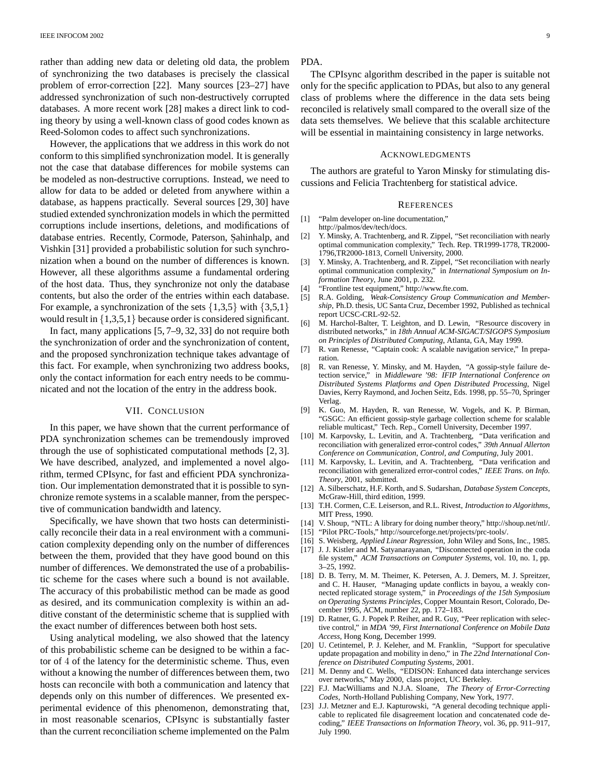rather than adding new data or deleting old data, the problem of synchronizing the two databases is precisely the classical problem of error-correction [22]. Many sources [23–27] have addressed synchronization of such non-destructively corrupted databases. A more recent work [28] makes a direct link to coding theory by using a well-known class of good codes known as Reed-Solomon codes to affect such synchronizations.

However, the applications that we address in this work do not conform to this simplified synchronization model. It is generally not the case that database differences for mobile systems can be modeled as non-destructive corruptions. Instead, we need to allow for data to be added or deleted from anywhere within a database, as happens practically. Several sources [29, 30] have studied extended synchronization models in which the permitted corruptions include insertions, deletions, and modifications of database entries. Recently, Cormode, Paterson, Sahinhalp, and Vishkin [31] provided a probabilistic solution for such synchronization when a bound on the number of differences is known. However, all these algorithms assume a fundamental ordering of the host data. Thus, they synchronize not only the database contents, but also the order of the entries within each database. For example, a synchronization of the sets  $\{1,3,5\}$  with  $\{3,5,1\}$ would result in {1,3,5,1} because order is considered significant.

In fact, many applications [5, 7–9, 32, 33] do not require both the synchronization of order and the synchronization of content, and the proposed synchronization technique takes advantage of this fact. For example, when synchronizing two address books, only the contact information for each entry needs to be communicated and not the location of the entry in the address book.

## VII. CONCLUSION

In this paper, we have shown that the current performance of PDA synchronization schemes can be tremendously improved through the use of sophisticated computational methods [2, 3]. We have described, analyzed, and implemented a novel algorithm, termed CPIsync, for fast and efficient PDA synchronization. Our implementation demonstrated that it is possible to synchronize remote systems in a scalable manner, from the perspective of communication bandwidth and latency.

Specifically, we have shown that two hosts can deterministically reconcile their data in a real environment with a communication complexity depending only on the number of differences between the them, provided that they have good bound on this number of differences. We demonstrated the use of a probabilistic scheme for the cases where such a bound is not available. The accuracy of this probabilistic method can be made as good as desired, and its communication complexity is within an additive constant of the deterministic scheme that is supplied with the exact number of differences between both host sets.

Using analytical modeling, we also showed that the latency of this probabilistic scheme can be designed to be within a factor of 4 of the latency for the deterministic scheme. Thus, even without a knowing the number of differences between them, two hosts can reconcile with both a communication and latency that depends only on this number of differences. We presented experimental evidence of this phenomenon, demonstrating that, in most reasonable scenarios, CPIsync is substantially faster than the current reconciliation scheme implemented on the Palm

#### PDA.

The CPIsync algorithm described in the paper is suitable not only for the specific application to PDAs, but also to any general class of problems where the difference in the data sets being reconciled is relatively small compared to the overall size of the data sets themselves. We believe that this scalable architecture will be essential in maintaining consistency in large networks.

#### ACKNOWLEDGMENTS

The authors are grateful to Yaron Minsky for stimulating discussions and Felicia Trachtenberg for statistical advice.

# **REFERENCES**

- [1] "Palm developer on-line documentation," http://palmos/dev/tech/docs.
- [2] Y. Minsky, A. Trachtenberg, and R. Zippel, "Set reconciliation with nearly optimal communication complexity," Tech. Rep. TR1999-1778, TR2000- 1796,TR2000-1813, Cornell University, 2000.
- [3] Y. Minsky, A. Trachtenberg, and R. Zippel, "Set reconciliation with nearly optimal communication complexity," in *International Symposium on Information Theory*, June 2001, p. 232.
- [4] "Frontline test equipment," http://www.fte.com.
- [5] R.A. Golding, *Weak-Consistency Group Communication and Membership*, Ph.D. thesis, UC Santa Cruz, December 1992, Published as technical report UCSC-CRL-92-52.
- [6] M. Harchol-Balter, T. Leighton, and D. Lewin, "Resource discovery in distributed networks," in *18th Annual ACM-SIGACT/SIGOPS Symposium on Principles of Distributed Computing*, Atlanta, GA, May 1999.
- [7] R. van Renesse, "Captain cook: A scalable navigation service," In preparation.
- [8] R. van Renesse, Y. Minsky, and M. Hayden, "A gossip-style failure detection service," in *Middleware '98: IFIP International Conference on Distributed Systems Platforms and Open Distributed Processing*, Nigel Davies, Kerry Raymond, and Jochen Seitz, Eds. 1998, pp. 55–70, Springer Verlag.
- [9] K. Guo, M. Hayden, R. van Renesse, W. Vogels, and K. P. Birman, "GSGC: An efficient gossip-style garbage collection scheme for scalable reliable multicast," Tech. Rep., Cornell University, December 1997.
- [10] M. Karpovsky, L. Levitin, and A. Trachtenberg, "Data verification and reconciliation with generalized error-control codes," *39th Annual Allerton Conference on Communication, Control, and Computing*, July 2001.
- [11] M. Karpovsky, L. Levitin, and A. Trachtenberg, "Data verification and reconciliation with generalized error-control codes," *IEEE Trans. on Info. Theory*, 2001, submitted.
- [12] A. Silberschatz, H.F. Korth, and S. Sudarshan, *Database System Concepts*, McGraw-Hill, third edition, 1999.
- [13] T.H. Cormen, C.E. Leiserson, and R.L. Rivest, *Introduction to Algorithms*, MIT Press, 1990.
- [14] V. Shoup, "NTL: A library for doing number theory," http://shoup.net/ntl/.
- [15] "Pilot PRC-Tools," http://sourceforge.net/projects/prc-tools/.
- [16] S. Weisberg, *Applied Linear Regression*, John Wiley and Sons, Inc., 1985.
- [17] J. J. Kistler and M. Satyanarayanan, "Disconnected operation in the coda file system," *ACM Transactions on Computer Systems*, vol. 10, no. 1, pp. 3–25, 1992.
- [18] D. B. Terry, M. M. Theimer, K. Petersen, A. J. Demers, M. J. Spreitzer, and C. H. Hauser, "Managing update conflicts in bayou, a weakly connected replicated storage system," in *Proceedings of the 15th Symposium on Operating Systems Principles*, Copper Mountain Resort, Colorado, December 1995, ACM, number 22, pp. 172–183.
- [19] D. Ratner, G. J. Popek P. Reiher, and R. Guy, "Peer replication with selective control," in *MDA '99, First International Conference on Mobile Data Access*, Hong Kong, December 1999.
- [20] U. Cetintemel, P. J. Keleher, and M. Franklin, "Support for speculative update propagation and mobility in deno," in *The 22nd International Conference on Distributed Computing Systems*, 2001.
- [21] M. Denny and C. Wells, "EDISON: Enhanced data interchange services over networks," May 2000, class project, UC Berkeley.
- [22] F.J. MacWilliams and N.J.A. Sloane, *The Theory of Error-Correcting Codes*, North-Holland Publishing Company, New York, 1977.
- [23] J.J. Metzner and E.J. Kapturowski, "A general decoding technique applicable to replicated file disagreement location and concatenated code decoding," *IEEE Transactions on Information Theory*, vol. 36, pp. 911–917, July 1990.